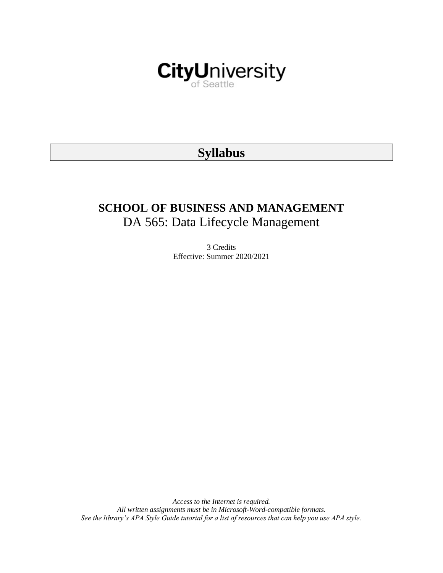

# **Syllabus**

# **SCHOOL OF BUSINESS AND MANAGEMENT** DA 565: Data Lifecycle Management

3 Credits Effective: Summer 2020/2021

*Access to the Internet is required. All written assignments must be in Microsoft-Word-compatible formats. See the library's APA Style Guide tutorial for a list of resources that can help you use APA style.*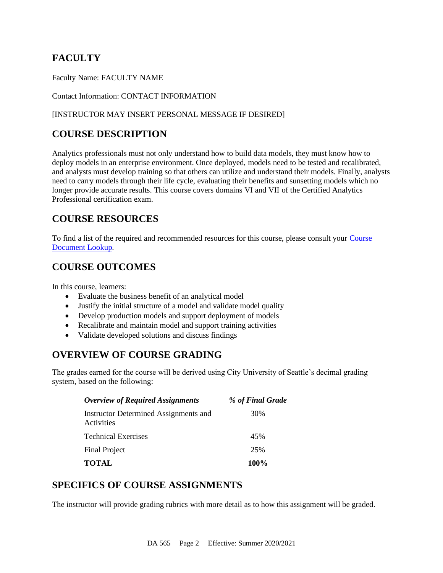## **FACULTY**

Faculty Name: FACULTY NAME

#### Contact Information: CONTACT INFORMATION

#### [INSTRUCTOR MAY INSERT PERSONAL MESSAGE IF DESIRED]

## **COURSE DESCRIPTION**

Analytics professionals must not only understand how to build data models, they must know how to deploy models in an enterprise environment. Once deployed, models need to be tested and recalibrated, and analysts must develop training so that others can utilize and understand their models. Finally, analysts need to carry models through their life cycle, evaluating their benefits and sunsetting models which no longer provide accurate results. This course covers domains VI and VII of the Certified Analytics Professional certification exam.

## **COURSE RESOURCES**

To find a list of the required and recommended resources for this course, please consult your [Course](https://documents.cityu.edu/coursedocumentlookup.aspx)  [Document Lookup.](https://documents.cityu.edu/coursedocumentlookup.aspx)

## **COURSE OUTCOMES**

In this course, learners:

- Evaluate the business benefit of an analytical model
- Justify the initial structure of a model and validate model quality
- Develop production models and support deployment of models
- Recalibrate and maintain model and support training activities
- Validate developed solutions and discuss findings

## **OVERVIEW OF COURSE GRADING**

The grades earned for the course will be derived using City University of Seattle's decimal grading system, based on the following:

| <b>Overview of Required Assignments</b>             | % of Final Grade |
|-----------------------------------------------------|------------------|
| Instructor Determined Assignments and<br>Activities | 30%              |
| <b>Technical Exercises</b>                          | 45%              |
| <b>Final Project</b>                                | 25%              |
| <b>TOTAL</b>                                        | <b>100%</b>      |

## **SPECIFICS OF COURSE ASSIGNMENTS**

The instructor will provide grading rubrics with more detail as to how this assignment will be graded.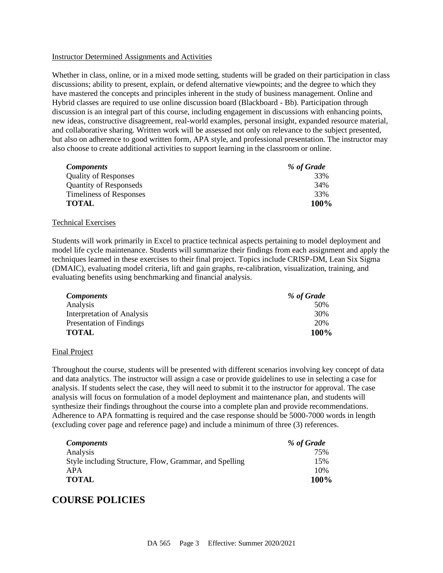#### Instructor Determined Assignments and Activities

Whether in class, online, or in a mixed mode setting, students will be graded on their participation in class discussions; ability to present, explain, or defend alternative viewpoints; and the degree to which they have mastered the concepts and principles inherent in the study of business management. Online and Hybrid classes are required to use online discussion board (Blackboard - Bb). Participation through discussion is an integral part of this course, including engagement in discussions with enhancing points, new ideas, constructive disagreement, real-world examples, personal insight, expanded resource material, and collaborative sharing. Written work will be assessed not only on relevance to the subject presented, but also on adherence to good written form, APA style, and professional presentation. The instructor may also choose to create additional activities to support learning in the classroom or online.

| <i>Components</i>              | % of Grade |
|--------------------------------|------------|
| <b>Quality of Responses</b>    | 33%        |
| <b>Quantity of Responseds</b>  | 34%        |
| <b>Timeliness of Responses</b> | 33%        |
| <b>TOTAL</b>                   | 100%       |

#### Technical Exercises

Students will work primarily in Excel to practice technical aspects pertaining to model deployment and model life cycle maintenance. Students will summarize their findings from each assignment and apply the techniques learned in these exercises to their final project. Topics include CRISP-DM, Lean Six Sigma (DMAIC), evaluating model criteria, lift and gain graphs, re-calibration, visualization, training, and evaluating benefits using benchmarking and financial analysis.

| <b>Components</b>          | % of Grade |
|----------------------------|------------|
| Analysis                   | 50%        |
| Interpretation of Analysis | 30%        |
| Presentation of Findings   | 20%        |
| <b>TOTAL</b>               | 100%       |

#### Final Project

Throughout the course, students will be presented with different scenarios involving key concept of data and data analytics. The instructor will assign a case or provide guidelines to use in selecting a case for analysis. If students select the case, they will need to submit it to the instructor for approval. The case analysis will focus on formulation of a model deployment and maintenance plan, and students will synthesize their findings throughout the course into a complete plan and provide recommendations. Adherence to APA formatting is required and the case response should be 5000-7000 words in length (excluding cover page and reference page) and include a minimum of three (3) references.

| <b>Components</b>                                      | % of Grade |
|--------------------------------------------------------|------------|
| Analysis                                               | 75%        |
| Style including Structure, Flow, Grammar, and Spelling | 15%        |
| APA                                                    | 10%        |
| <b>TOTAL</b>                                           | 100%       |

## **COURSE POLICIES**